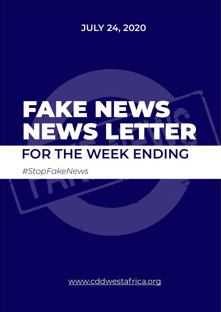# [www.cddwestafrica.org](http://www.cddwestafrica.org)

# FAKE NEWS NEWS LETTER **FOR THE WEEK ENDING**



*#StopFakeNews*

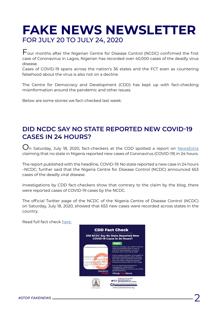*#STOP FAKENEWS* 2

# **[FAKE NEWS NEWSLETTER](http://www.cddwestafrica.org)** [FOR JULY 20 TO JULY 24, 2020](http://www.cddwestafrica.org)

Four months after the Nigerian Centre for Disease Control (NCDC) confirmed the first case of Coronavirus in Lagos, Nigerian has recorded over 40,000 cases of the deadly virus disease.

Cases of COVID-19 spans across the nation's 36 states and the FCT even as countering falsehood about the virus is also not on a decline.

**U**n Saturday, July 18, 2020, fact-checkers at the CDD spotted a report on [NewsExtra](https://www.newsextra.com.ng/2020/07/covid-19-no-state-reported-new-case-in.html) claiming that no state in Nigeria reported new cases of Coronavirus (COVID-19) in 24 hours.

The Centre for Democracy and Development (CDD) has kept up with fact-checking misinformation around the pandemic and other issues.

Below are some stories we fact-checked last week:

## **[DID NCDC SAY NO STATE REPORTED NEW COVID-19](https://www.cddwestafrica.org/fact-check-did-ncdc-say-no-state-reported-new-covid-19-cases-in-24-hours/)  CASES IN 24 HOURS?**

The report published with the headline, COVID-19: No state reported a new case in 24 hours –NCDC; further said that the Nigeria Centre for Disease Control (NCDC) announced 653 cases of the deadly viral disease.

Investigations by CDD fact-checkers show that contrary to the claim by the blog, there were reported cases of COVID-19 cases by the NCDC.

The official Twitter page of the NCDC of the Nigeria Centre of Disease Control (NCDC) on Saturday, July 18, 2020, showed that 653 new cases were recorded across states in the country.

Read full fact check [here.](https://www.cddwestafrica.org/fact-check-did-ncdc-say-no-state-reported-new-covid-19-cases-in-24-hours/)

**CDD Fact Check** Did NCDC Say No State Deported No

#### **COVID-19 Cases in 24 Hours?**



#### **FACT**

CDD fact-checkers can confirm that the<br>claim by NewsExtra that no case of<br>COVID-19 was reported in 24 hours<br>between July 17 and July 18, 2020.

CDD is urging members of the public to<br>read beyond headlines before sharing<br>any news report, especially from blogs<br>are in the habit of using sensational<br>headlines to draw traffic to their blogs.

You can also forward suspicious<br>messages for verification at<br>+2349062910568 or contact us on twitter<br>@CDDWestAfrica. #StopFakeNews

Published July 20, 2020 **yf** © @CDDWestafrica<br> **yf** © @CddWestAfrica\_Hausa Centre for Democracy & Devel www.cddwestafrica.org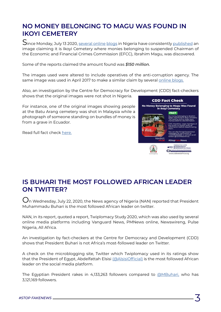

# **[NO MONEY BELONGING TO MAGU WAS FOUND IN](https://www.cddwestafrica.org/fact-check-no-money-belonging-to-magu-was-found-in-ikoyi-cemetery/)  IKOYI CEMETERY**

Since Monday, July 13 2020, [several](https://news.phxfeeds.com/share?docId=7701573625814552908&&source=phx) [online](https://ibrandtv.com/revealed-security-operatives-discover-150m-allegedly-belonging-to-magu-inside-ikoyi-cemetery/) [blogs](https://popnaija.net/shocking-us-dollars-belonging-to-magu-found-in-ikoyi-cementry/) in Nigeria have consistently [published](https://www.facebook.com/permalink.php?id=102182796784667&&story_fbid=1205887856414150) an image claiming it is Ikoyi Cemetery where monies belonging to suspended Chairman of the Economic and Financial Crimes Commission (EFCC), Ibrahim Magu, was discovered.

Some of the reports claimed the amount found was *\$150 million.*

The images used were altered to include operatives of the anti-corruption agency. The same image was used in April 2017 to make a similar claim by several [online blogs.](https://starconnectmedia.com/efcc-uncovers-u-s-dollars-buried-in-graveyard/)

 $\bigcup$ n Wednesday, July 22, 2020, the News agency of Nigeria (NAN) reported that President Muhammadu Buhari is the most followed African leader on twitter.

Also, an investigation by the Centre for Democracy for Development (CDD) fact-checkers shows that the original images were not shot in Nigeria.

For instance, one of the original images showing people at the Batu Arang cemetery was shot in Malaysia while a photograph of someone standing on bundles of money is from a grave in Ecuador.

**CDD Fact Check** No Money Belonging to Magu Was Found in Ikovi Cemetery Verdict: #StopFakeNews hed July 21, 2020 **yf**<sup>©</sup> @CDDWestafrica<br> **v**f◎ @CddWestAfrica\_Hausa tre for Democracy & Dev ww.cddwestafrica.org

The Egyptian President rakes in 4,133,263 followers compared to **@MBuhari**, who has 3,121,169 followers.

Read full fact check [here.](https://www.cddwestafrica.org/fact-check-no-money-belonging-to-magu-was-found-in-ikoyi-cemetery/)

# **[IS BUHARI THE MOST FOLLOWED AFRICAN LEADER](https://www.cddwestafrica.org/fact-check-is-buhari-the-most-followed-african-leader-on-twitter/)  ON TWITTER?**

NAN, in its report, quoted a report, Twiplomacy Study 2020, which was also used by several online media platforms including Vanguard News, PMNews online, Newswireng, Pulse Nigeria, All Africa.

An investigation by fact-checkers at the Centre for Democracy and Development (CDD) shows that President Buhari is not Africa's most-followed leader on Twitter.

A check on the microblogging site, Twitter which Twiplomacy used in its ratings show that the President of Egypt, Abdelfattah Elsisi [\(@AlsisiOfficial\)](https://twitter.com/alsisiofficial?lang=en) is the most followed African leader on the social media platform.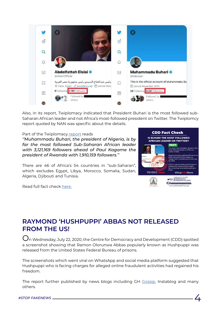*#STOP FAKENEWS* 4



Also, in its report, Twiplomacy indicated that President Buhari is the most followed sub-Saharan African leader and not Africa's most-followed president on Twitter. The Twiplomcy report quoted by NAN was specific about the details.

### Part of the Twiplomacy [report](https://twiplomacy.com/blog/twiplomacy-study-2020/) reads

*''Muhammadu Buhari, the president of Nigeria, is by far the most followed Sub-Saharan African leader with 3,121,169 followers ahead of Paul Kagame the president of Rwanda with 1,910,159 followers.''*

 $\bigcup$ n Wednesday, July 22, 2020, the Centre for Democracy and Development (CDD) spotted a screenshot showing that Ramon Olorunwa Abbas popularly known as Hushpuppi was released from the United States Federal Bureau of prisons.

There are 46 of Africa's 54 countries in "sub-Saharan", which excludes Egypt, Libya, Morocco, Somalia, Sudan, Algeria, Djibouti and Tunisia.

The report further published by news blogs including GH Cossip, Instablog and many others.

Read full fact check [here.](https://www.cddwestafrica.org/fact-check-is-buhari-the-most-followed-african-leader-on-twitter/)



# **[RAYMOND 'HUSHPUPPI' ABBAS NOT RELEASED](https://www.cddwestafrica.org/fact-check-raymond-hushpuppi-abbas-not-released-from-us/)  FROM THE US!**

The screenshots which went viral on WhatsApp and social media platform suggested that Hushpuppi who is facing charges for alleged online fraudulent activities had regained his freedom.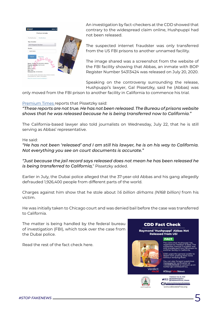



An investigation by fact-checkers at the CDD showed that contrary to the widespread claim online, Hushpuppi had not been released.

The suspected internet fraudster was only transferred from the US FBI prisons to another unnamed facility.

The image shared was a screenshot from the website of the FBI facility showing that Abbas, an inmate with BOP Register Number 54313424 was released on July 20, 2020.

Speaking on the controversy surrounding the release, Hushpuppi's lawyer, Gal Pissetzky, said he (Abbas) was

only moved from the FBI prison to another facility in California to commence his trial.

### [Premium Times r](https://www.premiumtimesng.com/news/headlines/404534-hushpuppi-not-released-still-in-u-s-prison-lawyer.html)eports that Pissetzky said:

*"These reports are not true. He has not been released. The Bureau of prisons website shows that he was released because he is being transferred now to California."*

The California-based lawyer also told journalists on Wednesday, July 22, that he is still serving as Abbas' representative.

He said:

*"He has not been 'released' and I am still his lawyer, he is on his way to California. Not everything you see on court documents is accurate."* 

*"Just because the jail record says released does not mean he has been released he is being transferred to California,*" Pissetzky added.

Earlier in July, the Dubai police alleged that the 37-year-old Abbas and his gang allegedly defrauded 1,926,400 people from different parts of the world.

Charges against him show that he stole about *1.6 billion dirhams (N168 billion)* from his victim.

He was initially taken to Chicago court and was denied bail before the case was transferred to California.

The matter is being handled by the federal bureau of investigation (FBI), which took over the case from the Dubai police.

### **CDD Fact Check**

**Raymond 'Hushpuppi' Abbas Not Released from US!** 

**FACT** 

#### Read the rest of the fact check here.



### Verdict:

#### #StopFakeNews

The claim that Hushpuppi has<br>regained his freedom is false. The<br>suspected internet fraudster was<br>only transferred from FBI prison to<br>another facility in California.

CDD urges the general public to desist from sharing false news<br>without verifying them.

You can also forward suspicious<br>messages for verification at<br>+2349062910568 or contact us on<br>twitter @CDDWestAfrica.



Published July 26, 2020 **yf**<sup>©</sup> <sup>@CDDWestafrica<br>● CddWestAfrica\_Hausa</sup> Centre for Democracy & Developme

www.cddwestafrica.org